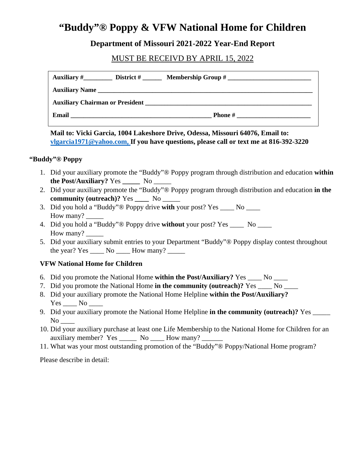# **"Buddy"® Poppy & VFW National Home for Children**

## **Department of Missouri 2021-2022 Year-End Report**

## MUST BE RECEIVD BY APRIL 15, 2022

| Auxiliary $\#$ District $\#$                                        | <b>Membership Group <math>\#</math></b> |
|---------------------------------------------------------------------|-----------------------------------------|
|                                                                     |                                         |
|                                                                     |                                         |
| Email<br><u> 1980 - John Stein, Amerikaansk politiker (</u> † 1920) | <b>Phone</b> $#$                        |

**Mail to: Vicki Garcia, 1004 Lakeshore Drive, Odessa, Missouri 64076, Email to: [vlgarcia1971@yahoo.com,](mailto:vlgarcia1971@yahoo.com) If you have questions, please call or text me at 816-392-3220** 

### **"Buddy"® Poppy**

- 1. Did your auxiliary promote the "Buddy"® Poppy program through distribution and education **within the Post/Auxiliary?** Yes **\_\_\_\_\_** No \_\_\_\_\_
- 2. Did your auxiliary promote the "Buddy"® Poppy program through distribution and education **in the community (outreach)?** Yes **\_\_\_\_** No \_\_\_\_\_
- 3. Did you hold a "Buddy"® Poppy drive **with** your post? Yes \_\_\_\_ No \_\_\_\_ How many?
- 4. Did you hold a "Buddy"® Poppy drive **without** your post? Yes \_\_\_\_ No \_\_\_\_ How many?
- 5. Did your auxiliary submit entries to your Department "Buddy"® Poppy display contest throughout the year? Yes  $\_\_\_\$  No  $\_\_\_\$  How many?  $\_\_\_\_\$

### **VFW National Home for Children**

- 6. Did you promote the National Home **within the Post/Auxiliary?** Yes \_\_\_\_ No \_\_\_\_
- 7. Did you promote the National Home **in the community (outreach)?** Yes No
- 8. Did your auxiliary promote the National Home Helpline **within the Post/Auxiliary?**   $Yes$  No  $\_\_$
- 9. Did your auxiliary promote the National Home Helpline **in the community (outreach)?** Yes \_\_\_\_\_ No  $\blacksquare$
- 10. Did your auxiliary purchase at least one Life Membership to the National Home for Children for an auxiliary member? Yes \_\_\_\_\_\_\_ No \_\_\_\_\_ How many?
- 11. What was your most outstanding promotion of the "Buddy"® Poppy/National Home program?

Please describe in detail: